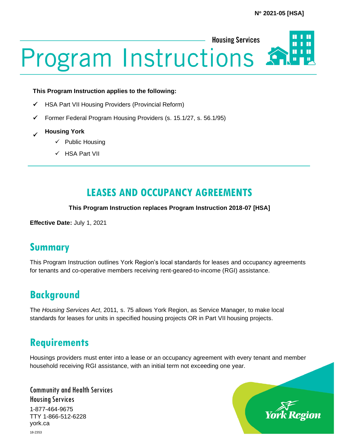

#### **This Program Instruction applies to the following:**

- ✓ HSA Part VII Housing Providers (Provincial Reform)
- ✓ Former Federal Program Housing Providers (s. 15.1/27, s. 56.1/95)
- ✓ **Housing York**
	- $\checkmark$  Public Housing
	- ✓ HSA Part VII

# **LEASES AND OCCUPANCY AGREEMENTS**

#### **This Program Instruction replaces Program Instruction 2018-07 [HSA]**

**Effective Date:** July 1, 2021

# **Summary**

This Program Instruction outlines York Region's local standards for leases and occupancy agreements for tenants and co-operative members receiving rent-geared-to-income (RGI) assistance.

# **Background**

The *Housing Services Act*, 2011*,* s. 75 allows York Region, as Service Manager, to make local standards for leases for units in specified housing projects OR in Part VII housing projects.

### **Requirements**

Housings providers must enter into a lease or an occupancy agreement with every tenant and member household receiving RGI assistance, with an initial term not exceeding one year.

Community and Health Services Housing Services 1-877-464-9675 TTY 1-866-512-6228 york.ca

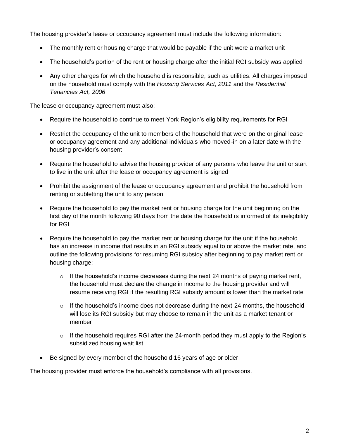The housing provider's lease or occupancy agreement must include the following information:

- The monthly rent or housing charge that would be payable if the unit were a market unit
- The household's portion of the rent or housing charge after the initial RGI subsidy was applied
- Any other charges for which the household is responsible, such as utilities. All charges imposed on the household must comply with the *Housing Services Act, 2011* and the *Residential Tenancies Act, 2006*

The lease or occupancy agreement must also:

- Require the household to continue to meet York Region's eligibility requirements for RGI
- Restrict the occupancy of the unit to members of the household that were on the original lease or occupancy agreement and any additional individuals who moved-in on a later date with the housing provider's consent
- Require the household to advise the housing provider of any persons who leave the unit or start to live in the unit after the lease or occupancy agreement is signed
- Prohibit the assignment of the lease or occupancy agreement and prohibit the household from renting or subletting the unit to any person
- Require the household to pay the market rent or housing charge for the unit beginning on the first day of the month following 90 days from the date the household is informed of its ineligibility for RGI
- Require the household to pay the market rent or housing charge for the unit if the household has an increase in income that results in an RGI subsidy equal to or above the market rate, and outline the following provisions for resuming RGI subsidy after beginning to pay market rent or housing charge:
	- $\circ$  If the household's income decreases during the next 24 months of paying market rent, the household must declare the change in income to the housing provider and will resume receiving RGI if the resulting RGI subsidy amount is lower than the market rate
	- $\circ$  If the household's income does not decrease during the next 24 months, the household will lose its RGI subsidy but may choose to remain in the unit as a market tenant or member
	- o If the household requires RGI after the 24-month period they must apply to the Region's subsidized housing wait list
- Be signed by every member of the household 16 years of age or older

The housing provider must enforce the household's compliance with all provisions.